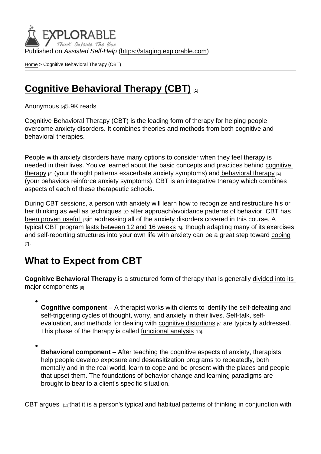Published on Assisted Self-Help [\(https://staging.explorable.com](https://staging.explorable.com))

[Home](https://staging.explorable.com/en) > Cognitive Behavioral Therapy (CBT)

### [Cognitive Behavioral Therapy \(CBT\)](https://staging.explorable.com/en/e/cognitive-behavioral-therapy)

[Anonymous](https://staging.explorable.com/en/users/grharriman) [2]5.9K reads

Cognitive Behavioral Therapy (CBT) is the leading form of therapy for helping people overcome anxiety disorders. It combines theories and methods from both cognitive and behavioral therapies.

People with anxiety disorders have many options to consider when they feel therapy is needed in their lives. You've learned about the basic concepts and practices behind [cognitive](https://explorable.com/cognitive-therapy)  [therapy](https://explorable.com/cognitive-therapy) [3] (your thought patterns exacerbate anxiety symptoms) and [behavioral therapy](https://explorable.com/behavioral-therapy-exposure) [4] (your behaviors reinforce anxiety symptoms). CBT is an integrative therapy which combines aspects of each of these therapeutic schools.

During CBT sessions, a person with anxiety will learn how to recognize and restructure his or her thinking as well as techniques to alter approach/avoidance patterns of behavior. CBT has [been proven useful](http://www.ncbi.nlm.nih.gov/pmc/articles/PMC2409267/) [5]in addressing all of the anxiety disorders covered in this course. A typical CBT program [lasts between 12 and 16 weeks](http://www.adaa.org/finding-help/treatment/therapy) [6], though adapting many of its exercises and self-reporting structures into your own life with anxiety can be a great step toward [coping](https://explorable.com/anxiety-tips-cognitive-social-strategies) [7].

### What to Expect from CBT

Cognitive Behavioral Therapy is a structured form of therapy that is generally [divided into its](https://www.mindquire.com/about/how-does-cbt-help-anxiety.php)  [major components](https://www.mindquire.com/about/how-does-cbt-help-anxiety.php) [8]:

Cognitive component  $- A$  therapist works with clients to identify the self-defeating and self-triggering cycles of thought, worry, and anxiety in their lives. Self-talk, selfevaluation, and methods for dealing with [cognitive distortions](https://www.psychologytoday.com/blog/in-practice/201301/50-common-cognitive-distortions)  $[9]$  are typically addressed. This phase of the therapy is called [functional analysis](http://psychology.about.com/od/psychotherapy/a/cbt.htm) [10].

Behavioral component  $-$  After teaching the cognitive aspects of anxiety, therapists help people develop exposure and desensitization programs to repeatedly, both mentally and in the real world, learn to cope and be present with the places and people that upset them. The foundations of behavior change and learning paradigms are brought to bear to a client's specific situation.

[CBT argues](https://www.beyondblue.org.au/the-facts/anxiety/treatments-for-anxiety/psychological-treatments-for-anxiety)  $111$ that it is a person's typical and habitual patterns of thinking in conjunction with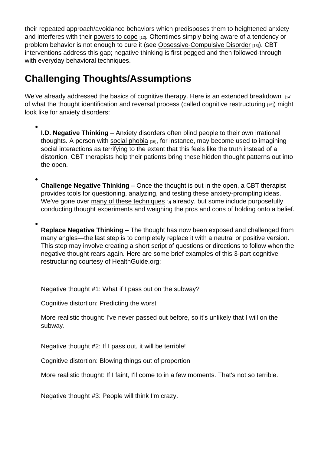their repeated approach/avoidance behaviors which predisposes them to heightened anxiety and interferes with their [powers to cope](https://explorable.com/social-support) [12]. Oftentimes simply being aware of a tendency or problem behavior is not enough to cure it (see [Obsessive-Compulsive Disorder](https://explorable.com/obsessive-compulsive-disorders) [13]). CBT interventions address this gap; negative thinking is first pegged and then followed-through with everyday behavioral techniques.

# Challenging Thoughts/Assumptions

We've already addressed the basics of cognitive therapy. Here is [an extended breakdown](http://www.helpguide.org/articles/anxiety/therapy-for-anxiety-disorders.htm) [14] of what the thought identification and reversal process (called [cognitive restructuring](http://www.mayoclinic.org/tests-procedures/cognitive-behavioral-therapy/basics/what-you-can-expect/prc-20013594) [15]) might look like for anxiety disorders:

I.D. Negative Thinking – Anxiety disorders often blind people to their own irrational thoughts. A person with [social phobia](https://explorable.com/social-anxiety-disorders)  $[16]$ , for instance, may become used to imagining social interactions as terrifying to the extent that this feels like the truth instead of a distortion. CBT therapists help their patients bring these hidden thought patterns out into the open.

Challenge Negative Thinking – Once the thought is out in the open, a CBT therapist provides tools for questioning, analyzing, and testing these anxiety-prompting ideas. We've gone over [many of these techniques](https://explorable.com/cognitive-therapy) [3] already, but some include purposefully conducting thought experiments and weighing the pros and cons of holding onto a belief.

Replace Negative Thinking – The thought has now been exposed and challenged from many angles—the last step is to completely replace it with a neutral or positive version. This step may involve creating a short script of questions or directions to follow when the negative thought rears again. Here are some brief examples of this 3-part cognitive restructuring courtesy of HealthGuide.org:

Negative thought #1: What if I pass out on the subway?

Cognitive distortion: Predicting the worst

More realistic thought: I've never passed out before, so it's unlikely that I will on the subway.

Negative thought #2: If I pass out, it will be terrible!

Cognitive distortion: Blowing things out of proportion

More realistic thought: If I faint, I'll come to in a few moments. That's not so terrible.

Negative thought #3: People will think I'm crazy.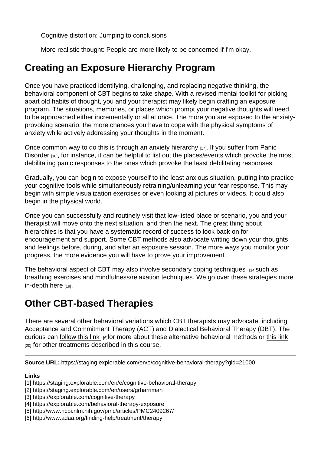Cognitive distortion: Jumping to conclusions

More realistic thought: People are more likely to be concerned if I'm okay.

# Creating an Exposure Hierarchy Program

Once you have practiced identifying, challenging, and replacing negative thinking, the behavioral component of CBT begins to take shape. With a revised mental toolkit for picking apart old habits of thought, you and your therapist may likely begin crafting an exposure program. The situations, memories, or places which prompt your negative thoughts will need to be approached either incrementally or all at once. The more you are exposed to the anxietyprovoking scenario, the more chances you have to cope with the physical symptoms of anxiety while actively addressing your thoughts in the moment.

Once common way to do this is through an [anxiety hierarchy](http://socialanxietydisorder.about.com/od/glossarya/g/hierarchies.htm) [17]. If you suffer from Panic [Disorder](https://explorable.com/panic-disorder) [18], for instance, it can be helpful to list out the places/events which provoke the most debilitating panic responses to the ones which provoke the least debilitating responses.

Gradually, you can begin to expose yourself to the least anxious situation, putting into practice your cognitive tools while simultaneously retraining/unlearning your fear response. This may begin with simple visualization exercises or even looking at pictures or videos. It could also begin in the physical world.

Once you can successfully and routinely visit that low-listed place or scenario, you and your therapist will move onto the next situation, and then the next. The great thing about hierarchies is that you have a systematic record of success to look back on for encouragement and support. Some CBT methods also advocate writing down your thoughts and feelings before, during, and after an exposure session. The more ways you monitor your progress, the more evidence you will have to prove your improvement.

The behavioral aspect of CBT may also involve [secondary coping techniques](http://www.helpguide.org/articles/anxiety/therapy-for-anxiety-disorders.htm)  $\mu_{14}$ such as breathing exercises and mindfulness/relaxation techniques. We go over these strategies more in-depth [here](https://explorable.com/mindfulness-breathing-exercise) [19].

### Other CBT-based Therapies

There are several other behavioral variations which CBT therapists may advocate, including Acceptance and Commitment Therapy (ACT) and Dialectical Behavioral Therapy (DBT). The curious can [follow this link](http://www.adaa.org/finding-help/treatment/therapy)  $_{[6]}$  for more about these alternative behavioral methods or [this link](https://explorable.com/psychotherapy)  $[20]$  for other treatments described in this course.

Source URL: https://staging.explorable.com/en/e/cognitive-behavioral-therapy?gid=21000

Links

[1] https://staging.explorable.com/en/e/cognitive-behavioral-therapy

- [2] https://staging.explorable.com/en/users/grharriman
- [3] https://explorable.com/cognitive-therapy
- [4] https://explorable.com/behavioral-therapy-exposure
- [5] http://www.ncbi.nlm.nih.gov/pmc/articles/PMC2409267/
- [6] http://www.adaa.org/finding-help/treatment/therapy